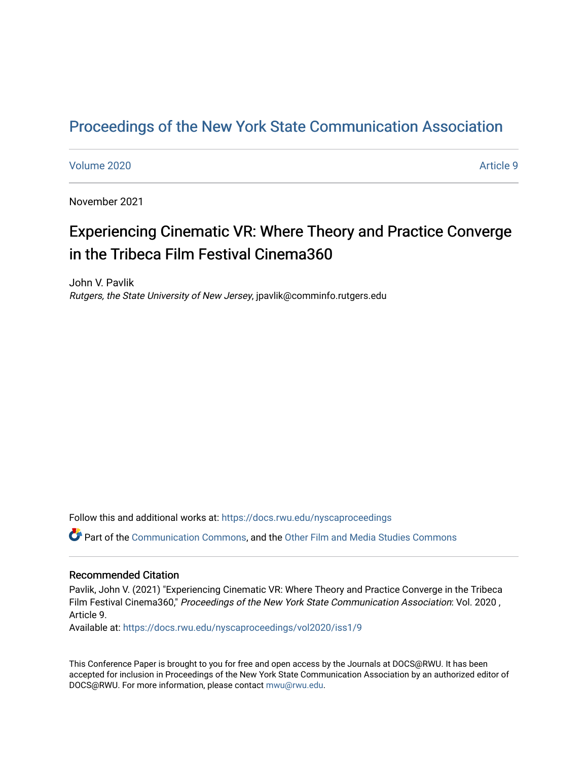# [Proceedings of the New York State Communication Association](https://docs.rwu.edu/nyscaproceedings)

#### [Volume 2020](https://docs.rwu.edu/nyscaproceedings/vol2020) **Article 9**

November 2021

# Experiencing Cinematic VR: Where Theory and Practice Converge in the Tribeca Film Festival Cinema360

John V. Pavlik Rutgers, the State University of New Jersey, jpavlik@comminfo.rutgers.edu

Follow this and additional works at: [https://docs.rwu.edu/nyscaproceedings](https://docs.rwu.edu/nyscaproceedings?utm_source=docs.rwu.edu%2Fnyscaproceedings%2Fvol2020%2Fiss1%2F9&utm_medium=PDF&utm_campaign=PDFCoverPages)

Part of the [Communication Commons,](http://network.bepress.com/hgg/discipline/325?utm_source=docs.rwu.edu%2Fnyscaproceedings%2Fvol2020%2Fiss1%2F9&utm_medium=PDF&utm_campaign=PDFCoverPages) and the [Other Film and Media Studies Commons](http://network.bepress.com/hgg/discipline/565?utm_source=docs.rwu.edu%2Fnyscaproceedings%2Fvol2020%2Fiss1%2F9&utm_medium=PDF&utm_campaign=PDFCoverPages) 

#### Recommended Citation

Pavlik, John V. (2021) "Experiencing Cinematic VR: Where Theory and Practice Converge in the Tribeca Film Festival Cinema360," Proceedings of the New York State Communication Association: Vol. 2020 , Article 9.

Available at: [https://docs.rwu.edu/nyscaproceedings/vol2020/iss1/9](https://docs.rwu.edu/nyscaproceedings/vol2020/iss1/9?utm_source=docs.rwu.edu%2Fnyscaproceedings%2Fvol2020%2Fiss1%2F9&utm_medium=PDF&utm_campaign=PDFCoverPages)

This Conference Paper is brought to you for free and open access by the Journals at DOCS@RWU. It has been accepted for inclusion in Proceedings of the New York State Communication Association by an authorized editor of DOCS@RWU. For more information, please contact [mwu@rwu.edu.](mailto:mwu@rwu.edu)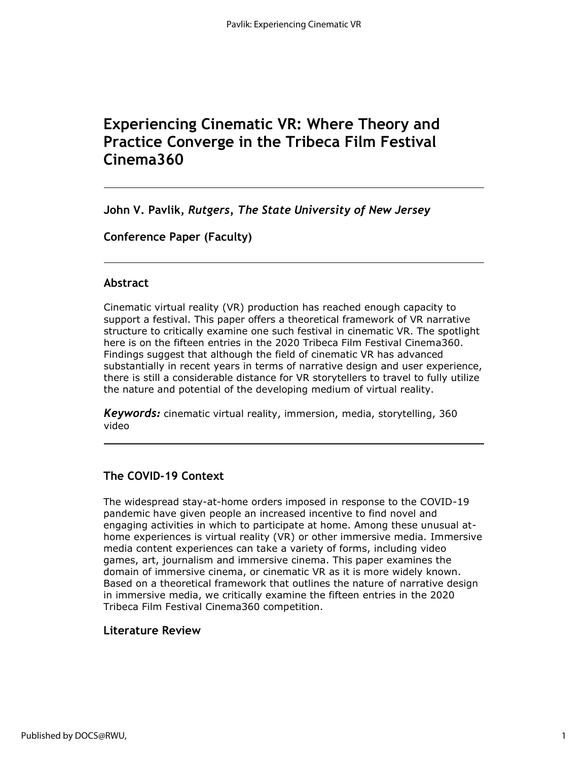# **Experiencing Cinematic VR: Where Theory and Practice Converge in the Tribeca Film Festival Cinema360**

**John V. Pavlik,** *Rutgers, The State University of New Jersey*

**Conference Paper (Faculty)**

# **Abstract**

Cinematic virtual reality (VR) production has reached enough capacity to support a festival. This paper offers a theoretical framework of VR narrative structure to critically examine one such festival in cinematic VR. The spotlight here is on the fifteen entries in the 2020 Tribeca Film Festival Cinema360. Findings suggest that although the field of cinematic VR has advanced substantially in recent years in terms of narrative design and user experience, there is still a considerable distance for VR storytellers to travel to fully utilize the nature and potential of the developing medium of virtual reality.

*Keywords:* cinematic virtual reality, immersion, media, storytelling, 360 video

# **The COVID-19 Context**

The widespread stay-at-home orders imposed in response to the COVID-19 pandemic have given people an increased incentive to find novel and engaging activities in which to participate at home. Among these unusual athome experiences is virtual reality (VR) or other immersive media. Immersive media content experiences can take a variety of forms, including video games, art, journalism and immersive cinema. This paper examines the domain of immersive cinema, or cinematic VR as it is more widely known. Based on a theoretical framework that outlines the nature of narrative design in immersive media, we critically examine the fifteen entries in the 2020 Tribeca Film Festival Cinema360 competition.

# **Literature Review**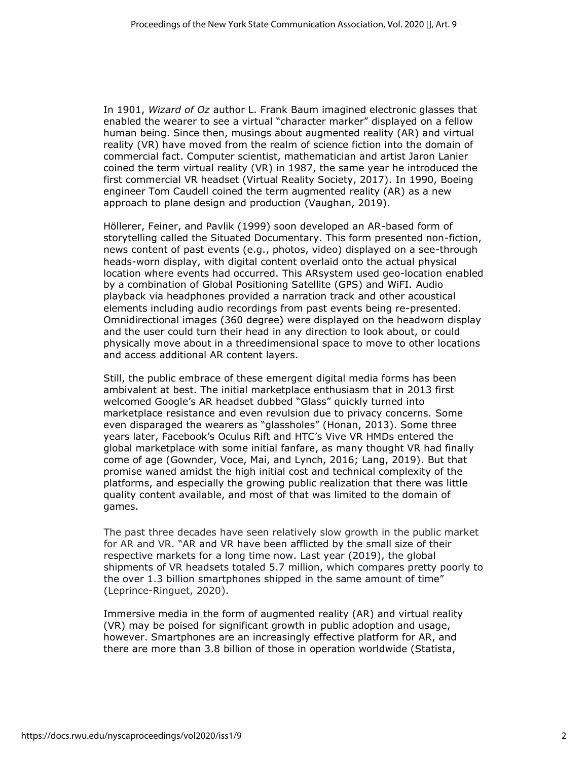In 1901, *Wizard of Oz* author L. Frank Baum imagined electronic glasses that enabled the wearer to see a virtual "character marker" displayed on a fellow human being. Since then, musings about augmented reality (AR) and virtual reality (VR) have moved from the realm of science fiction into the domain of commercial fact. Computer scientist, mathematician and artist Jaron Lanier coined the term virtual reality (VR) in 1987, the same year he introduced the first commercial VR headset (Virtual Reality Society, 2017). In 1990, Boeing engineer Tom Caudell coined the term augmented reality (AR) as a new approach to plane design and production (Vaughan, 2019).

Höllerer, Feiner, and Pavlik (1999) soon developed an AR-based form of storytelling called the Situated Documentary. This form presented non-fiction, news content of past events (e.g., photos, video) displayed on a see-through heads-worn display, with digital content overlaid onto the actual physical location where events had occurred. This ARsystem used geo-location enabled by a combination of Global Positioning Satellite (GPS) and WiFI. Audio playback via headphones provided a narration track and other acoustical elements including audio recordings from past events being re-presented. Omnidirectional images (360 degree) were displayed on the headworn display and the user could turn their head in any direction to look about, or could physically move about in a threedimensional space to move to other locations and access additional AR content layers.

Still, the public embrace of these emergent digital media forms has been ambivalent at best. The initial marketplace enthusiasm that in 2013 first welcomed Google's AR headset dubbed "Glass" quickly turned into marketplace resistance and even revulsion due to privacy concerns. Some even disparaged the wearers as "glassholes" (Honan, 2013). Some three years later, Facebook's Oculus Rift and HTC's Vive VR HMDs entered the global marketplace with some initial fanfare, as many thought VR had finally come of age (Gownder, Voce, Mai, and Lynch, 2016; Lang, 2019). But that promise waned amidst the high initial cost and technical complexity of the platforms, and especially the growing public realization that there was little quality content available, and most of that was limited to the domain of games.

The past three decades have seen relatively slow growth in the public market for AR and VR. "AR and VR have been afflicted by the small size of their respective markets for a long time now. Last year (2019), the global shipments of VR headsets totaled 5.7 million, which compares pretty poorly to the over 1.3 billion smartphones shipped in the same amount of time" (Leprince-Ringuet, 2020).

Immersive media in the form of augmented reality (AR) and virtual reality (VR) may be poised for significant growth in public adoption and usage, however. Smartphones are an increasingly effective platform for AR, and there are more than 3.8 billion of those in operation worldwide (Statista,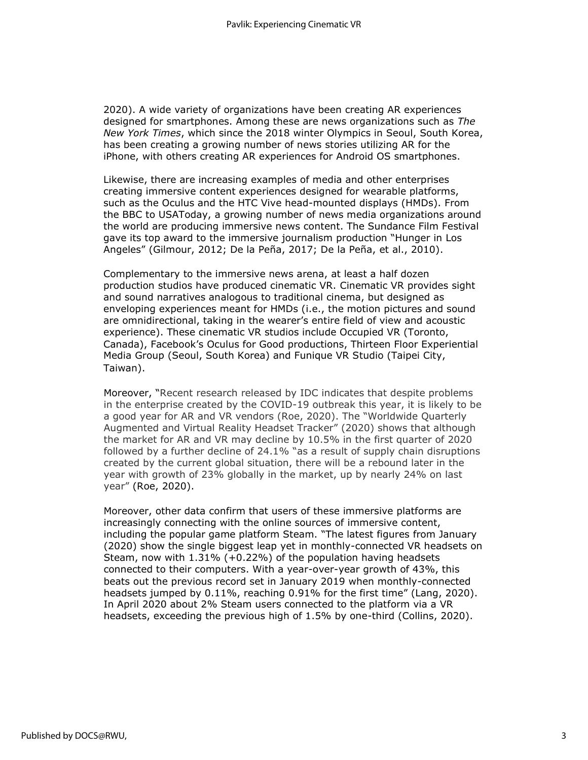2020). A wide variety of organizations have been creating AR experiences designed for smartphones. Among these are news organizations such as *The New York Times*, which since the 2018 winter Olympics in Seoul, South Korea, has been creating a growing number of news stories utilizing AR for the iPhone, with others creating AR experiences for Android OS smartphones.

Likewise, there are increasing examples of media and other enterprises creating immersive content experiences designed for wearable platforms, such as the Oculus and the HTC Vive head-mounted displays (HMDs). From the BBC to USAToday, a growing number of news media organizations around the world are producing immersive news content. The Sundance Film Festival gave its top award to the immersive journalism production "Hunger in Los Angeles" (Gilmour, 2012; De la Peña, 2017; De la Peña, et al., 2010).

Complementary to the immersive news arena, at least a half dozen production studios have produced cinematic VR. Cinematic VR provides sight and sound narratives analogous to traditional cinema, but designed as enveloping experiences meant for HMDs (i.e., the motion pictures and sound are omnidirectional, taking in the wearer's entire field of view and acoustic experience). These cinematic VR studios include Occupied VR (Toronto, Canada), Facebook's Oculus for Good productions, Thirteen Floor Experiential Media Group (Seoul, South Korea) and Funique VR Studio (Taipei City, Taiwan).

Moreover, "Recent research released by IDC indicates that despite problems in the enterprise created by the COVID-19 outbreak this year, it is likely to be a good year for AR and VR vendors (Roe, 2020). The "Worldwide Quarterly Augmented and Virtual Reality Headset Tracker" (2020) shows that although the market for AR and VR may decline by 10.5% in the first quarter of 2020 followed by a further decline of 24.1% "as a result of supply chain disruptions created by the current global situation, there will be a rebound later in the year with growth of 23% globally in the market, up by nearly 24% on last year" (Roe, 2020).

Moreover, other data confirm that users of these immersive platforms are increasingly connecting with the online sources of immersive content, including the popular game platform Steam. "The latest figures from January (2020) show the single biggest leap yet in monthly-connected VR headsets on Steam, now with 1.31% (+0.22%) of the population having headsets connected to their computers. With a year-over-year growth of 43%, this beats out the previous record set in January 2019 when monthly-connected headsets jumped by 0.11%, reaching 0.91% for the first time" (Lang, 2020). In April 2020 about 2% Steam users connected to the platform via a VR headsets, exceeding the previous high of 1.5% by one-third (Collins, 2020).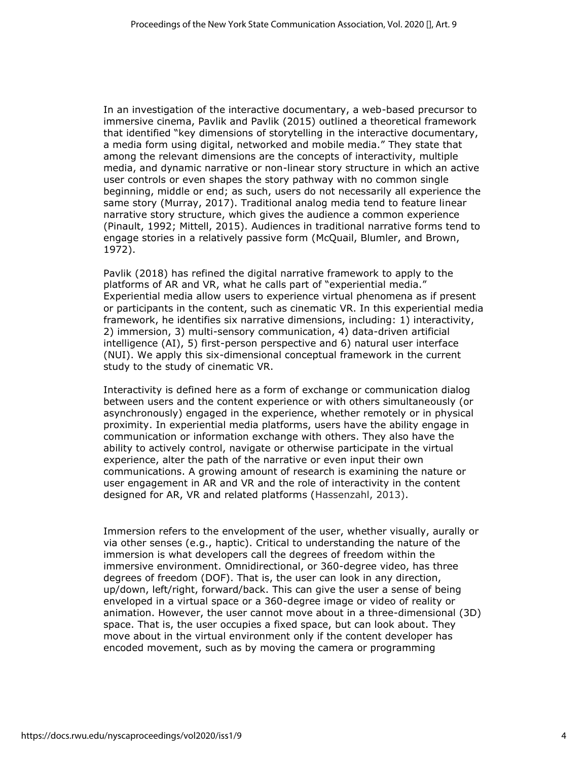In an investigation of the interactive documentary, a web-based precursor to immersive cinema, Pavlik and Pavlik (2015) outlined a theoretical framework that identified "key dimensions of storytelling in the interactive documentary, a media form using digital, networked and mobile media." They state that among the relevant dimensions are the concepts of interactivity, multiple media, and dynamic narrative or non-linear story structure in which an active user controls or even shapes the story pathway with no common single beginning, middle or end; as such, users do not necessarily all experience the same story (Murray, 2017). Traditional analog media tend to feature linear narrative story structure, which gives the audience a common experience (Pinault, 1992; Mittell, 2015). Audiences in traditional narrative forms tend to engage stories in a relatively passive form (McQuail, Blumler, and Brown, 1972).

Pavlik (2018) has refined the digital narrative framework to apply to the platforms of AR and VR, what he calls part of "experiential media." Experiential media allow users to experience virtual phenomena as if present or participants in the content, such as cinematic VR. In this experiential media framework, he identifies six narrative dimensions, including: 1) interactivity, 2) immersion, 3) multi-sensory communication, 4) data-driven artificial intelligence (AI), 5) first-person perspective and 6) natural user interface (NUI). We apply this six-dimensional conceptual framework in the current study to the study of cinematic VR.

Interactivity is defined here as a form of exchange or communication dialog between users and the content experience or with others simultaneously (or asynchronously) engaged in the experience, whether remotely or in physical proximity. In experiential media platforms, users have the ability engage in communication or information exchange with others. They also have the ability to actively control, navigate or otherwise participate in the virtual experience, alter the path of the narrative or even input their own communications. A growing amount of research is examining the nature or user engagement in AR and VR and the role of interactivity in the content designed for AR, VR and related platforms (Hassenzahl, 2013).

Immersion refers to the envelopment of the user, whether visually, aurally or via other senses (e.g., haptic). Critical to understanding the nature of the immersion is what developers call the degrees of freedom within the immersive environment. Omnidirectional, or 360-degree video, has three degrees of freedom (DOF). That is, the user can look in any direction, up/down, left/right, forward/back. This can give the user a sense of being enveloped in a virtual space or a 360-degree image or video of reality or animation. However, the user cannot move about in a three-dimensional (3D) space. That is, the user occupies a fixed space, but can look about. They move about in the virtual environment only if the content developer has encoded movement, such as by moving the camera or programming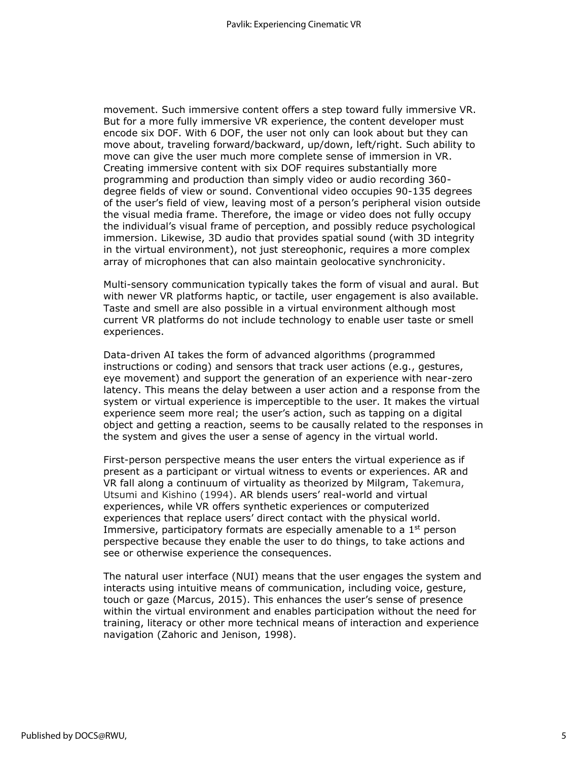movement. Such immersive content offers a step toward fully immersive VR. But for a more fully immersive VR experience, the content developer must encode six DOF. With 6 DOF, the user not only can look about but they can move about, traveling forward/backward, up/down, left/right. Such ability to move can give the user much more complete sense of immersion in VR. Creating immersive content with six DOF requires substantially more programming and production than simply video or audio recording 360 degree fields of view or sound. Conventional video occupies 90-135 degrees of the user's field of view, leaving most of a person's peripheral vision outside the visual media frame. Therefore, the image or video does not fully occupy the individual's visual frame of perception, and possibly reduce psychological immersion. Likewise, 3D audio that provides spatial sound (with 3D integrity in the virtual environment), not just stereophonic, requires a more complex array of microphones that can also maintain geolocative synchronicity.

Multi-sensory communication typically takes the form of visual and aural. But with newer VR platforms haptic, or tactile, user engagement is also available. Taste and smell are also possible in a virtual environment although most current VR platforms do not include technology to enable user taste or smell experiences.

Data-driven AI takes the form of advanced algorithms (programmed instructions or coding) and sensors that track user actions (e.g., gestures, eye movement) and support the generation of an experience with near-zero latency. This means the delay between a user action and a response from the system or virtual experience is imperceptible to the user. It makes the virtual experience seem more real; the user's action, such as tapping on a digital object and getting a reaction, seems to be causally related to the responses in the system and gives the user a sense of agency in the virtual world.

First-person perspective means the user enters the virtual experience as if present as a participant or virtual witness to events or experiences. AR and VR fall along a continuum of virtuality as theorized by Milgram, Takemura, Utsumi and Kishino (1994). AR blends users' real-world and virtual experiences, while VR offers synthetic experiences or computerized experiences that replace users' direct contact with the physical world. Immersive, participatory formats are especially amenable to a  $1<sup>st</sup>$  person perspective because they enable the user to do things, to take actions and see or otherwise experience the consequences.

The natural user interface (NUI) means that the user engages the system and interacts using intuitive means of communication, including voice, gesture, touch or gaze (Marcus, 2015). This enhances the user's sense of presence within the virtual environment and enables participation without the need for training, literacy or other more technical means of interaction and experience navigation (Zahoric and Jenison, 1998).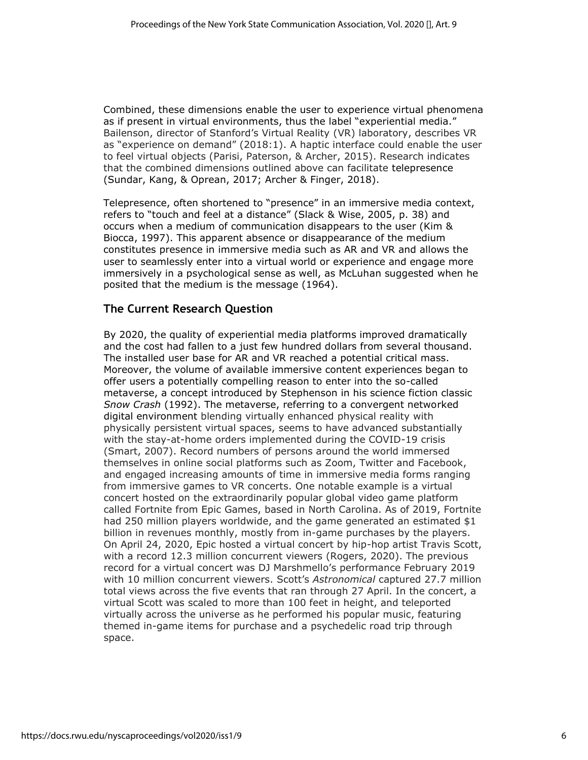Combined, these dimensions enable the user to experience virtual phenomena as if present in virtual environments, thus the label "experiential media." Bailenson, director of Stanford's Virtual Reality (VR) laboratory, describes VR as "experience on demand" (2018:1). A haptic interface could enable the user to feel virtual objects (Parisi, Paterson, & Archer, 2015). Research indicates that the combined dimensions outlined above can facilitate telepresence (Sundar, Kang, & Oprean, 2017; Archer & Finger, 2018).

Telepresence, often shortened to "presence" in an immersive media context, refers to "touch and feel at a distance" (Slack & Wise, 2005, p. 38) and occurs when a medium of communication disappears to the user (Kim & Biocca, 1997). This apparent absence or disappearance of the medium constitutes presence in immersive media such as AR and VR and allows the user to seamlessly enter into a virtual world or experience and engage more immersively in a psychological sense as well, as McLuhan suggested when he posited that the medium is the message (1964).

# **The Current Research Question**

By 2020, the quality of experiential media platforms improved dramatically and the cost had fallen to a just few hundred dollars from several thousand. The installed user base for AR and VR reached a potential critical mass. Moreover, the volume of available immersive content experiences began to offer users a potentially compelling reason to enter into the so-called metaverse, a concept introduced by Stephenson in his science fiction classic *Snow Crash* (1992). The metaverse, referring to a convergent networked digital environment blending virtually enhanced physical reality with physically persistent virtual spaces, seems to have advanced substantially with the stay-at-home orders implemented during the COVID-19 crisis (Smart, 2007). Record numbers of persons around the world immersed themselves in online social platforms such as Zoom, Twitter and Facebook, and engaged increasing amounts of time in immersive media forms ranging from immersive games to VR concerts. One notable example is a virtual concert hosted on the extraordinarily popular global video game platform called Fortnite from Epic Games, based in North Carolina. As of 2019, Fortnite had 250 million players worldwide, and the game generated an estimated \$1 billion in revenues monthly, mostly from in-game purchases by the players. On April 24, 2020, Epic hosted a virtual concert by hip-hop artist Travis Scott, with a record 12.3 million concurrent viewers (Rogers, 2020). The previous record for a virtual concert was DJ Marshmello's performance February 2019 with 10 million concurrent viewers. Scott's *Astronomical* captured 27.7 million total views across the five events that ran through 27 April. In the concert, a virtual Scott was scaled to more than 100 feet in height, and teleported virtually across the universe as he performed his popular music, featuring themed in-game items for purchase and a psychedelic road trip through space.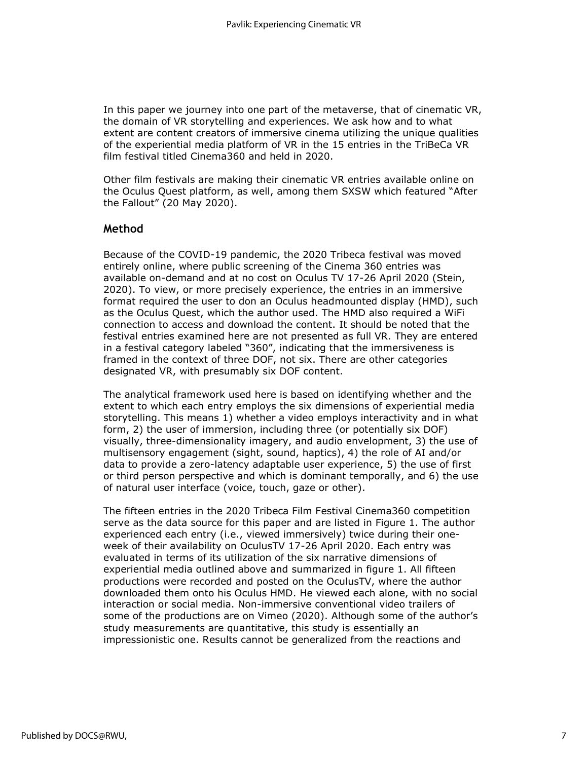In this paper we journey into one part of the metaverse, that of cinematic VR, the domain of VR storytelling and experiences. We ask how and to what extent are content creators of immersive cinema utilizing the unique qualities of the experiential media platform of VR in the 15 entries in the TriBeCa VR film festival titled Cinema360 and held in 2020.

Other film festivals are making their cinematic VR entries available online on the Oculus Quest platform, as well, among them SXSW which featured "After the Fallout" (20 May 2020).

# **Method**

Because of the COVID-19 pandemic, the 2020 Tribeca festival was moved entirely online, where public screening of the Cinema 360 entries was available on-demand and at no cost on Oculus TV 17-26 April 2020 (Stein, 2020). To view, or more precisely experience, the entries in an immersive format required the user to don an Oculus headmounted display (HMD), such as the Oculus Quest, which the author used. The HMD also required a WiFi connection to access and download the content. It should be noted that the festival entries examined here are not presented as full VR. They are entered in a festival category labeled "360", indicating that the immersiveness is framed in the context of three DOF, not six. There are other categories designated VR, with presumably six DOF content.

The analytical framework used here is based on identifying whether and the extent to which each entry employs the six dimensions of experiential media storytelling. This means 1) whether a video employs interactivity and in what form, 2) the user of immersion, including three (or potentially six DOF) visually, three-dimensionality imagery, and audio envelopment, 3) the use of multisensory engagement (sight, sound, haptics), 4) the role of AI and/or data to provide a zero-latency adaptable user experience, 5) the use of first or third person perspective and which is dominant temporally, and 6) the use of natural user interface (voice, touch, gaze or other).

The fifteen entries in the 2020 Tribeca Film Festival Cinema360 competition serve as the data source for this paper and are listed in Figure 1. The author experienced each entry (i.e., viewed immersively) twice during their oneweek of their availability on OculusTV 17-26 April 2020. Each entry was evaluated in terms of its utilization of the six narrative dimensions of experiential media outlined above and summarized in figure 1. All fifteen productions were recorded and posted on the OculusTV, where the author downloaded them onto his Oculus HMD. He viewed each alone, with no social interaction or social media. Non-immersive conventional video trailers of some of the productions are on Vimeo (2020). Although some of the author's study measurements are quantitative, this study is essentially an impressionistic one. Results cannot be generalized from the reactions and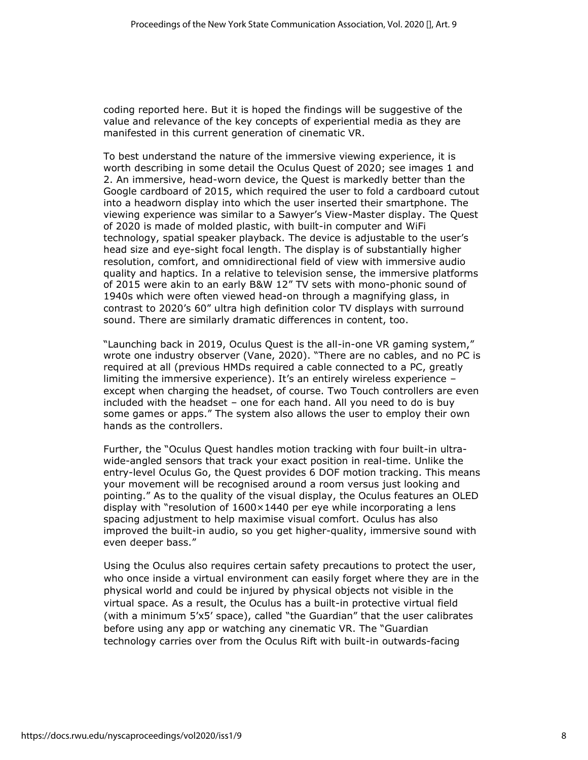coding reported here. But it is hoped the findings will be suggestive of the value and relevance of the key concepts of experiential media as they are manifested in this current generation of cinematic VR.

To best understand the nature of the immersive viewing experience, it is worth describing in some detail the Oculus Quest of 2020; see images 1 and 2. An immersive, head-worn device, the Quest is markedly better than the Google cardboard of 2015, which required the user to fold a cardboard cutout into a headworn display into which the user inserted their smartphone. The viewing experience was similar to a Sawyer's View-Master display. The Quest of 2020 is made of molded plastic, with built-in computer and WiFi technology, spatial speaker playback. The device is adjustable to the user's head size and eye-sight focal length. The display is of substantially higher resolution, comfort, and omnidirectional field of view with immersive audio quality and haptics. In a relative to television sense, the immersive platforms of 2015 were akin to an early B&W 12" TV sets with mono-phonic sound of 1940s which were often viewed head-on through a magnifying glass, in contrast to 2020's 60" ultra high definition color TV displays with surround sound. There are similarly dramatic differences in content, too.

"Launching back in 2019, Oculus Quest is the all-in-one VR gaming system," wrote one industry observer (Vane, 2020). "There are no cables, and no PC is required at all (previous HMDs required a cable connected to a PC, greatly limiting the immersive experience). It's an entirely wireless experience – except when charging the headset, of course. Two Touch controllers are even included with the headset – one for each hand. All you need to do is buy some games or apps." The system also allows the user to employ their own hands as the controllers.

Further, the "Oculus Quest handles motion tracking with four built-in ultrawide-angled sensors that track your exact position in real-time. Unlike the entry-level [Oculus](https://manofmany.com/tech/oculus-go-vr-headset-inclusive-escape-reality) [Go,](https://manofmany.com/tech/oculus-go-vr-headset-inclusive-escape-reality) the Quest provides 6 DOF motion tracking. This means your movement will be recognised around a room versus just looking and pointing." As to the quality of the visual display, the Oculus features an OLED display with "resolution of  $1600 \times 1440$  per eye while incorporating a lens spacing adjustment to help maximise visual comfort. Oculus has also improved the built-in audio, so you get higher-quality, immersive sound with even deeper bass."

Using the Oculus also requires certain safety precautions to protect the user, who once inside a virtual environment can easily forget where they are in the physical world and could be injured by physical objects not visible in the virtual space. As a result, the Oculus has a built-in protective virtual field (with a minimum 5'x5' space), called "the Guardian" that the user calibrates before using any app or watching any cinematic VR. The "Guardian technology carries over from the Oculus Rift with built-in outwards-facing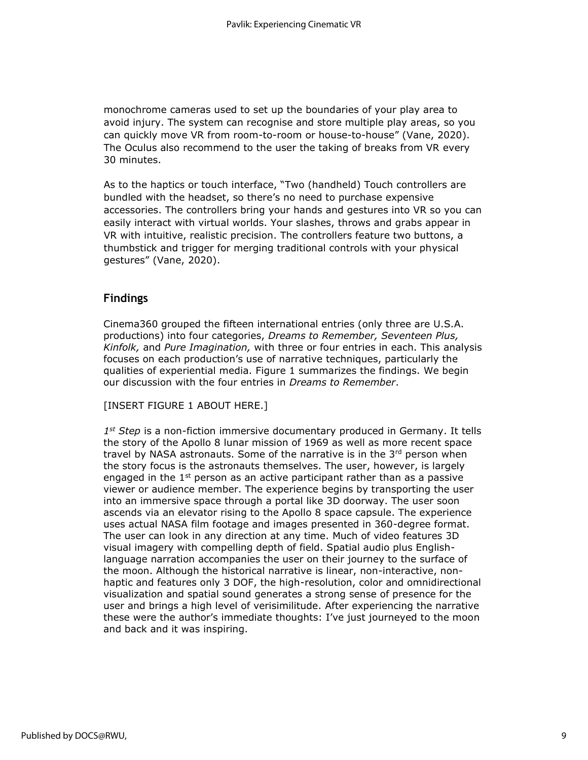monochrome cameras used to set up the boundaries of your play area to avoid injury. The system can recognise and store multiple play areas, so you can quickly move VR from room-to-room or house-to-house" (Vane, 2020). The Oculus also recommend to the user the taking of breaks from VR every 30 minutes.

As to the haptics or touch interface, "Two (handheld) Touch controllers are bundled with the headset, so there's no need to purchase expensive accessories. The controllers bring your hands and gestures into VR so you can easily interact with virtual worlds. Your slashes, throws and grabs appear in VR with intuitive, realistic precision. The controllers feature two buttons, a thumbstick and trigger for merging traditional controls with your physical gestures" (Vane, 2020).

# **Findings**

Cinema360 grouped the fifteen international entries (only three are U.S.A. productions) into four categories, *Dreams to Remember, Seventeen Plus, Kinfolk,* and *Pure Imagination,* with three or four entries in each. This analysis focuses on each production's use of narrative techniques, particularly the qualities of experiential media. Figure 1 summarizes the findings. We begin our discussion with the four entries in *Dreams to Remember*.

[INSERT FIGURE 1 ABOUT HERE.]

*1 st Step* is a non-fiction immersive documentary produced in Germany. It tells the story of the Apollo 8 lunar mission of 1969 as well as more recent space travel by NASA astronauts. Some of the narrative is in the  $3<sup>rd</sup>$  person when the story focus is the astronauts themselves. The user, however, is largely engaged in the  $1<sup>st</sup>$  person as an active participant rather than as a passive viewer or audience member. The experience begins by transporting the user into an immersive space through a portal like 3D doorway. The user soon ascends via an elevator rising to the Apollo 8 space capsule. The experience uses actual NASA film footage and images presented in 360-degree format. The user can look in any direction at any time. Much of video features 3D visual imagery with compelling depth of field. Spatial audio plus Englishlanguage narration accompanies the user on their journey to the surface of the moon. Although the historical narrative is linear, non-interactive, nonhaptic and features only 3 DOF, the high-resolution, color and omnidirectional visualization and spatial sound generates a strong sense of presence for the user and brings a high level of verisimilitude. After experiencing the narrative these were the author's immediate thoughts: I've just journeyed to the moon and back and it was inspiring.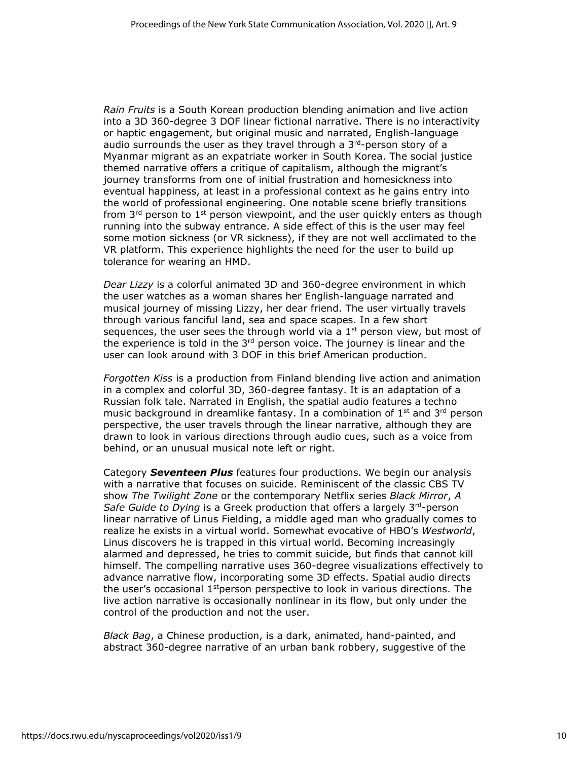*Rain Fruits* is a South Korean production blending animation and live action into a 3D 360-degree 3 DOF linear fictional narrative. There is no interactivity or haptic engagement, but original music and narrated, English-language audio surrounds the user as they travel through a  $3<sup>rd</sup>$ -person story of a Myanmar migrant as an expatriate worker in South Korea. The social justice themed narrative offers a critique of capitalism, although the migrant's journey transforms from one of initial frustration and homesickness into eventual happiness, at least in a professional context as he gains entry into the world of professional engineering. One notable scene briefly transitions from  $3<sup>rd</sup>$  person to 1<sup>st</sup> person viewpoint, and the user quickly enters as though running into the subway entrance. A side effect of this is the user may feel some motion sickness (or VR sickness), if they are not well acclimated to the VR platform. This experience highlights the need for the user to build up tolerance for wearing an HMD.

*Dear Lizzy* is a colorful animated 3D and 360-degree environment in which the user watches as a woman shares her English-language narrated and musical journey of missing Lizzy, her dear friend. The user virtually travels through various fanciful land, sea and space scapes. In a few short sequences, the user sees the through world via a  $1<sup>st</sup>$  person view, but most of the experience is told in the  $3<sup>rd</sup>$  person voice. The journey is linear and the user can look around with 3 DOF in this brief American production.

*Forgotten Kiss* is a production from Finland blending live action and animation in a complex and colorful 3D, 360-degree fantasy. It is an adaptation of a Russian folk tale. Narrated in English, the spatial audio features a techno music background in dreamlike fantasy. In a combination of  $1^{st}$  and  $3^{rd}$  person perspective, the user travels through the linear narrative, although they are drawn to look in various directions through audio cues, such as a voice from behind, or an unusual musical note left or right.

Category *Seventeen Plus* features four productions. We begin our analysis with a narrative that focuses on suicide. Reminiscent of the classic CBS TV show *The Twilight Zone* or the contemporary Netflix series *Black Mirror*, *A Safe Guide to Dying* is a Greek production that offers a largely 3rd-person linear narrative of Linus Fielding, a middle aged man who gradually comes to realize he exists in a virtual world. Somewhat evocative of HBO's *Westworld*, Linus discovers he is trapped in this virtual world. Becoming increasingly alarmed and depressed, he tries to commit suicide, but finds that cannot kill himself. The compelling narrative uses 360-degree visualizations effectively to advance narrative flow, incorporating some 3D effects. Spatial audio directs the user's occasional  $1<sup>st</sup>$  person perspective to look in various directions. The live action narrative is occasionally nonlinear in its flow, but only under the control of the production and not the user.

*Black Bag*, a Chinese production, is a dark, animated, hand-painted, and abstract 360-degree narrative of an urban bank robbery, suggestive of the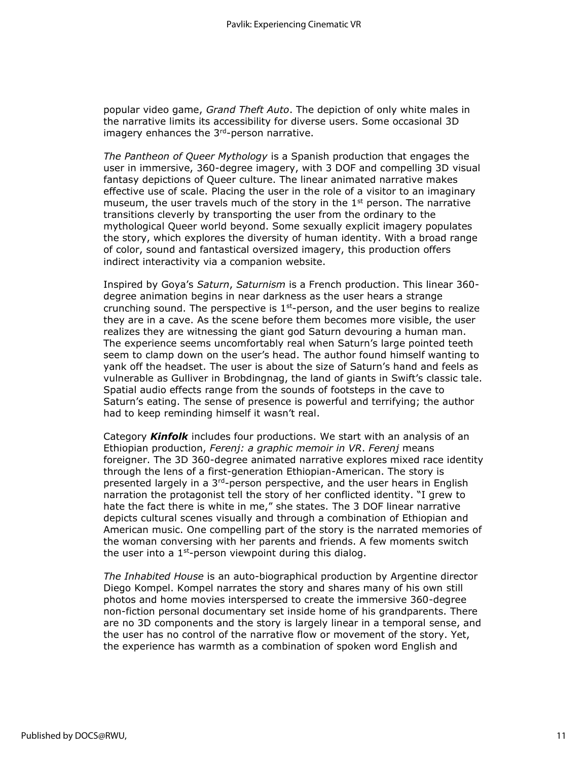popular video game, *Grand Theft Auto*. The depiction of only white males in the narrative limits its accessibility for diverse users. Some occasional 3D imagery enhances the 3<sup>rd</sup>-person narrative.

*The Pantheon of Queer Mythology* is a Spanish production that engages the user in immersive, 360-degree imagery, with 3 DOF and compelling 3D visual fantasy depictions of Queer culture. The linear animated narrative makes effective use of scale. Placing the user in the role of a visitor to an imaginary museum, the user travels much of the story in the  $1<sup>st</sup>$  person. The narrative transitions cleverly by transporting the user from the ordinary to the mythological Queer world beyond. Some sexually explicit imagery populates the story, which explores the diversity of human identity. With a broad range of color, sound and fantastical oversized imagery, this production offers indirect interactivity via a companion website.

Inspired by Goya's *Saturn*, *Saturnism* is a French production. This linear 360 degree animation begins in near darkness as the user hears a strange crunching sound. The perspective is  $1<sup>st</sup>$ -person, and the user begins to realize they are in a cave. As the scene before them becomes more visible, the user realizes they are witnessing the giant god Saturn devouring a human man. The experience seems uncomfortably real when Saturn's large pointed teeth seem to clamp down on the user's head. The author found himself wanting to yank off the headset. The user is about the size of Saturn's hand and feels as vulnerable as Gulliver in Brobdingnag, the land of giants in Swift's classic tale. Spatial audio effects range from the sounds of footsteps in the cave to Saturn's eating. The sense of presence is powerful and terrifying; the author had to keep reminding himself it wasn't real.

Category *Kinfolk* includes four productions. We start with an analysis of an Ethiopian production, *Ferenj: a graphic memoir in VR*. *Ferenj* means foreigner. The 3D 360-degree animated narrative explores mixed race identity through the lens of a first-generation Ethiopian-American. The story is presented largely in a  $3<sup>rd</sup>$ -person perspective, and the user hears in English narration the protagonist tell the story of her conflicted identity. "I grew to hate the fact there is white in me," she states. The 3 DOF linear narrative depicts cultural scenes visually and through a combination of Ethiopian and American music. One compelling part of the story is the narrated memories of the woman conversing with her parents and friends. A few moments switch the user into a  $1<sup>st</sup>$ -person viewpoint during this dialog.

*The Inhabited House* is an auto-biographical production by Argentine director Diego Kompel. Kompel narrates the story and shares many of his own still photos and home movies interspersed to create the immersive 360-degree non-fiction personal documentary set inside home of his grandparents. There are no 3D components and the story is largely linear in a temporal sense, and the user has no control of the narrative flow or movement of the story. Yet, the experience has warmth as a combination of spoken word English and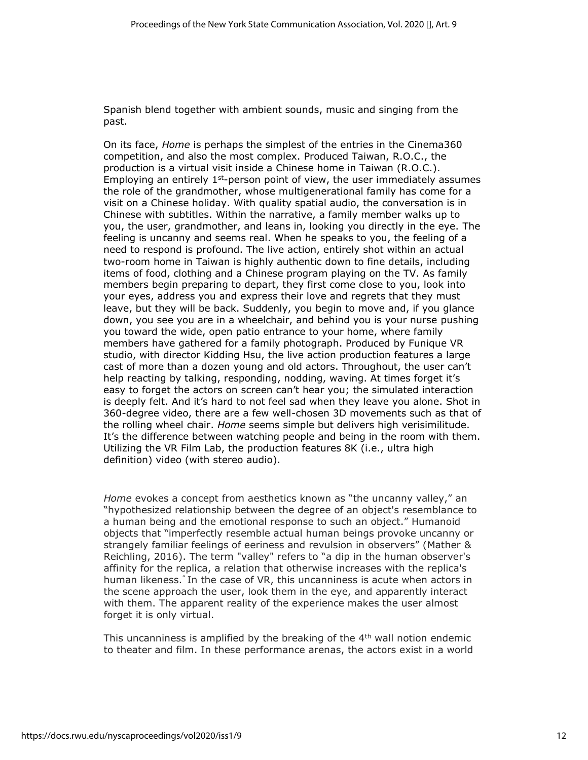Spanish blend together with ambient sounds, music and singing from the past.

On its face, *Home* is perhaps the simplest of the entries in the Cinema360 competition, and also the most complex. Produced Taiwan, R.O.C., the production is a virtual visit inside a Chinese home in Taiwan (R.O.C.). Employing an entirely  $1^{st}$ -person point of view, the user immediately assumes the role of the grandmother, whose multigenerational family has come for a visit on a Chinese holiday. With quality spatial audio, the conversation is in Chinese with subtitles. Within the narrative, a family member walks up to you, the user, grandmother, and leans in, looking you directly in the eye. The feeling is uncanny and seems real. When he speaks to you, the feeling of a need to respond is profound. The live action, entirely shot within an actual two-room home in Taiwan is highly authentic down to fine details, including items of food, clothing and a Chinese program playing on the TV. As family members begin preparing to depart, they first come close to you, look into your eyes, address you and express their love and regrets that they must leave, but they will be back. Suddenly, you begin to move and, if you glance down, you see you are in a wheelchair, and behind you is your nurse pushing you toward the wide, open patio entrance to your home, where family members have gathered for a family photograph. Produced by Funique VR studio, with director Kidding Hsu, the live action production features a large cast of more than a dozen young and old actors. Throughout, the user can't help reacting by talking, responding, nodding, waving. At times forget it's easy to forget the actors on screen can't hear you; the simulated interaction is deeply felt. And it's hard to not feel sad when they leave you alone. Shot in 360-degree video, there are a few well-chosen 3D movements such as that of the rolling wheel chair. *Home* seems simple but delivers high verisimilitude. It's the difference between watching people and being in the room with them. Utilizing the VR Film Lab, the production features 8K (i.e., ultra high definition) video (with stereo audio).

*Home* evokes a concept from aesthetics known as "the uncanny valley," an "hypothesized relationship between the degree of an object's resemblance to a human being and the emotional response to such an object." Humanoid objects that "imperfectly resemble actual human beings provoke uncanny or strangely familiar feelings of eeriness and revulsion in observers" (Mather & Reichling, 2016). The term "valley" refers to "a dip in the human observer's affinity for the replica, a relation that otherwise increases with the replica's human likeness." In the case of VR, this uncanniness is acute when actors in the scene approach the user, look them in the eye, and apparently interact with them. The apparent reality of the experience makes the user almost forget it is only virtual.

This uncanniness is amplified by the breaking of the 4<sup>th</sup> wall notion endemic to theater and film. In these performance arenas, the actors exist in a world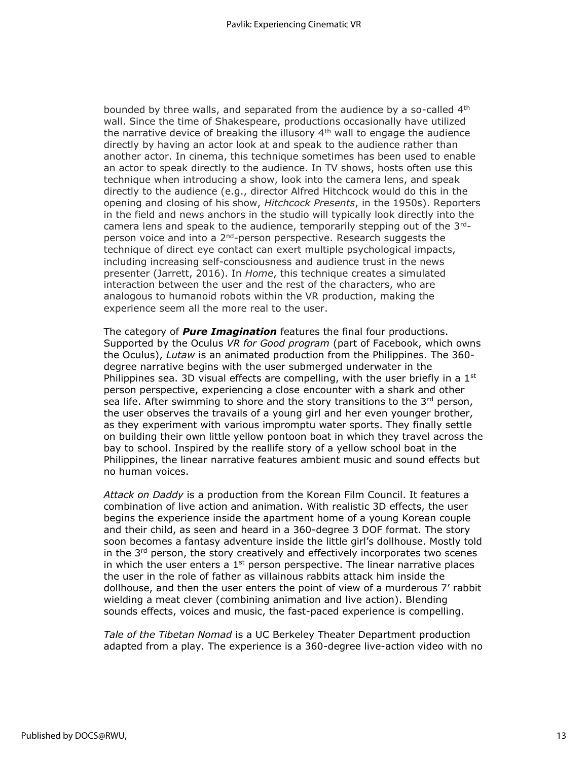bounded by three walls, and separated from the audience by a so-called 4<sup>th</sup> wall. Since the time of Shakespeare, productions occasionally have utilized the narrative device of breaking the illusory  $4<sup>th</sup>$  wall to engage the audience directly by having an actor look at and speak to the audience rather than another actor. In cinema, this technique sometimes has been used to enable an actor to speak directly to the audience. In TV shows, hosts often use this technique when introducing a show, look into the camera lens, and speak directly to the audience (e.g., director Alfred Hitchcock would do this in the opening and closing of his show, *Hitchcock Presents*, in the 1950s). Reporters in the field and news anchors in the studio will typically look directly into the camera lens and speak to the audience, temporarily stepping out of the  $3^{rd}$ person voice and into a 2<sup>nd</sup>-person perspective. Research suggests the technique of direct eye contact can exert multiple psychological impacts, including increasing self-consciousness and audience trust in the news presenter (Jarrett, 2016). In *Home*, this technique creates a simulated interaction between the user and the rest of the characters, who are analogous to humanoid robots within the VR production, making the experience seem all the more real to the user.

The category of *Pure Imagination* features the final four productions. Supported by the Oculus *VR for Good program* (part of Facebook, which owns the Oculus), *Lutaw* is an animated production from the Philippines. The 360 degree narrative begins with the user submerged underwater in the Philippines sea. 3D visual effects are compelling, with the user briefly in a  $1<sup>st</sup>$ person perspective, experiencing a close encounter with a shark and other sea life. After swimming to shore and the story transitions to the  $3<sup>rd</sup>$  person, the user observes the travails of a young girl and her even younger brother, as they experiment with various impromptu water sports. They finally settle on building their own little yellow pontoon boat in which they travel across the bay to school. Inspired by the reallife story of a yellow school boat in the Philippines, the linear narrative features ambient music and sound effects but no human voices.

*Attack on Daddy* is a production from the Korean Film Council. It features a combination of live action and animation. With realistic 3D effects, the user begins the experience inside the apartment home of a young Korean couple and their child, as seen and heard in a 360-degree 3 DOF format. The story soon becomes a fantasy adventure inside the little girl's dollhouse. Mostly told in the  $3<sup>rd</sup>$  person, the story creatively and effectively incorporates two scenes in which the user enters a  $1<sup>st</sup>$  person perspective. The linear narrative places the user in the role of father as villainous rabbits attack him inside the dollhouse, and then the user enters the point of view of a murderous 7' rabbit wielding a meat clever (combining animation and live action). Blending sounds effects, voices and music, the fast-paced experience is compelling.

*Tale of the Tibetan Nomad* is a UC Berkeley Theater Department production adapted from a play. The experience is a 360-degree live-action video with no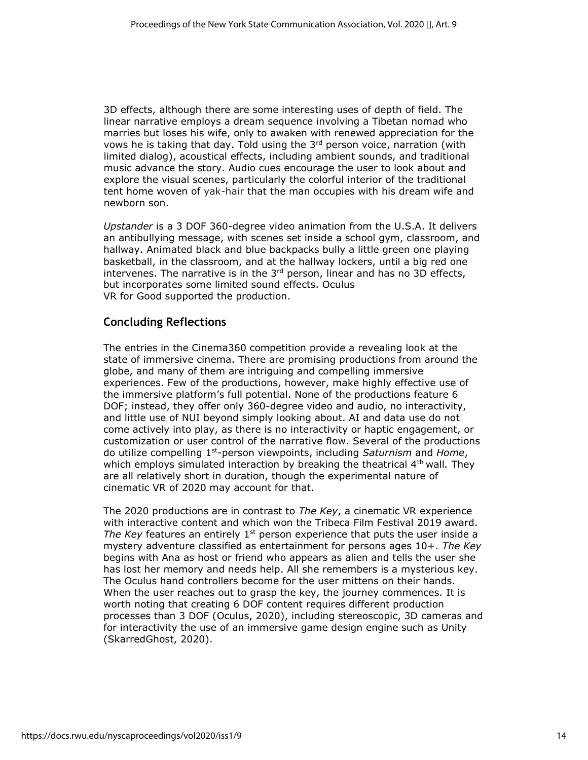3D effects, although there are some interesting uses of depth of field. The linear narrative employs a dream sequence involving a Tibetan nomad who marries but loses his wife, only to awaken with renewed appreciation for the vows he is taking that day. Told using the  $3<sup>rd</sup>$  person voice, narration (with limited dialog), acoustical effects, including ambient sounds, and traditional music advance the story. Audio cues encourage the user to look about and explore the visual scenes, particularly the colorful interior of the traditional tent home woven of yak-hair that the man occupies with his dream wife and newborn son.

*Upstander* is a 3 DOF 360-degree video animation from the U.S.A. It delivers an antibullying message, with scenes set inside a school gym, classroom, and hallway. Animated black and blue backpacks bully a little green one playing basketball, in the classroom, and at the hallway lockers, until a big red one intervenes. The narrative is in the  $3<sup>rd</sup>$  person, linear and has no 3D effects, but incorporates some limited sound effects. Oculus VR for Good supported the production.

# **Concluding Reflections**

The entries in the Cinema360 competition provide a revealing look at the state of immersive cinema. There are promising productions from around the globe, and many of them are intriguing and compelling immersive experiences. Few of the productions, however, make highly effective use of the immersive platform's full potential. None of the productions feature 6 DOF; instead, they offer only 360-degree video and audio, no interactivity, and little use of NUI beyond simply looking about. AI and data use do not come actively into play, as there is no interactivity or haptic engagement, or customization or user control of the narrative flow. Several of the productions do utilize compelling 1st-person viewpoints, including *Saturnism* and *Home*, which employs simulated interaction by breaking the theatrical 4<sup>th</sup> wall. They are all relatively short in duration, though the experimental nature of cinematic VR of 2020 may account for that.

The 2020 productions are in contrast to *The Key*, a cinematic VR experience with interactive content and which won the Tribeca Film Festival 2019 award. *The Key* features an entirely 1<sup>st</sup> person experience that puts the user inside a mystery adventure classified as entertainment for persons ages 10+. *The Key* begins with Ana as host or friend who appears as alien and tells the user she has lost her memory and needs help. All she remembers is a mysterious key. The Oculus hand controllers become for the user mittens on their hands. When the user reaches out to grasp the key, the journey commences. It is worth noting that creating 6 DOF content requires different production processes than 3 DOF (Oculus, 2020), including stereoscopic, 3D cameras and for interactivity the use of an immersive game design engine such as Unity (SkarredGhost, 2020).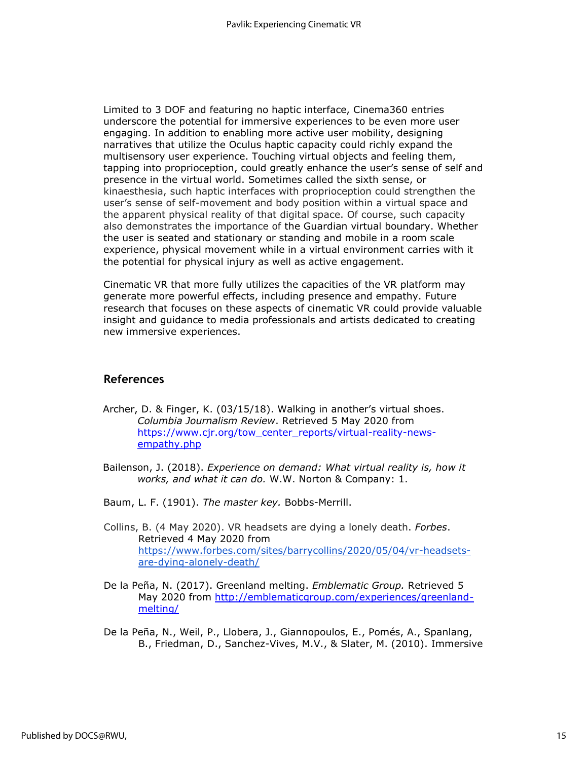Limited to 3 DOF and featuring no haptic interface, Cinema360 entries underscore the potential for immersive experiences to be even more user engaging. In addition to enabling more active user mobility, designing narratives that utilize the Oculus haptic capacity could richly expand the multisensory user experience. Touching virtual objects and feeling them, tapping into proprioception, could greatly enhance the user's sense of self and presence in the virtual world. Sometimes called the sixth sense, or kinaesthesia, such haptic interfaces with proprioception could strengthen the user's sense of self-movement and body position within a virtual space and the apparent physical reality of that digital space. Of course, such capacity also demonstrates the importance of the Guardian virtual boundary. Whether the user is seated and stationary or standing and mobile in a room scale experience, physical movement while in a virtual environment carries with it the potential for physical injury as well as active engagement.

Cinematic VR that more fully utilizes the capacities of the VR platform may generate more powerful effects, including presence and empathy. Future research that focuses on these aspects of cinematic VR could provide valuable insight and guidance to media professionals and artists dedicated to creating new immersive experiences.

#### **References**

- Archer, D. & Finger, K. (03/15/18). Walking in another's virtual shoes. *Columbia Journalism Review*. Retrieved 5 May 2020 from [https://www.cjr.org/tow\\_center\\_reports/virtual-reality-news](https://www.cjr.org/tow_center_reports/virtual-reality-news-empathy.php)[empathy.php](https://www.cjr.org/tow_center_reports/virtual-reality-news-empathy.php)
- Bailenson, J. (2018). *Experience on demand: What virtual reality is, how it works, and what it can do.* W.W. Norton & Company: 1.
- Baum, L. F. (1901). *The master key.* Bobbs-Merrill.
- Collins, B. (4 May 2020). VR headsets are dying a lonely death. *Forbes*. Retrieved 4 May 2020 from [https://www.forbes.com/sites/barrycollins/2020/05/04/vr-headsets](https://flip.it/KJb9Jd)[are-dying-alonely-death/](https://flip.it/KJb9Jd)
- De la Peña, N. (2017). Greenland melting. *Emblematic Group.* Retrieved 5 May 2020 from [http://emblematicgroup.com/experiences/greenland](http://emblematicgroup.com/experiences/greenland-melting/)[melting/](http://emblematicgroup.com/experiences/greenland-melting/)
- De la Peña, N., Weil, P., Llobera, J., Giannopoulos, E., Pomés, A., Spanlang, B., Friedman, D., Sanchez-Vives, M.V., & Slater, M. (2010). Immersive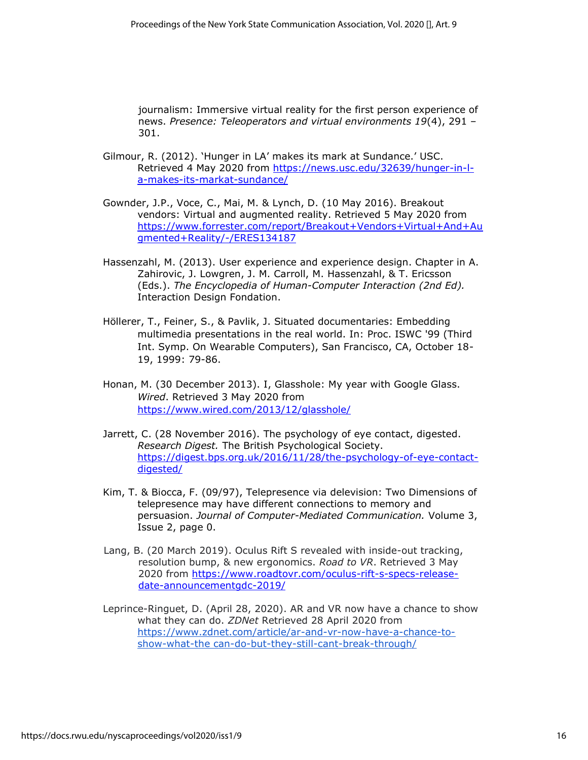journalism: Immersive virtual reality for the first person experience of news. *Presence: Teleoperators and virtual environments 19*(4), 291 – 301.

- Gilmour, R. (2012). 'Hunger in LA' makes its mark at Sundance.' USC. Retrieved 4 May 2020 from [https://news.usc.edu/32639/hunger-in-l](https://news.usc.edu/32639/hunger-in-l-a-makes-its-mark-at-sundance/)[a-makes-its-markat-sundance/](https://news.usc.edu/32639/hunger-in-l-a-makes-its-mark-at-sundance/)
- Gownder, J.P., Voce, C., Mai, M. & Lynch, D. (10 May 2016). Breakout vendors: Virtual and augmented reality. Retrieved 5 May 2020 fro[m](https://www.forrester.com/report/Breakout+Vendors+Virtual+And+Augmented+Reality/-/E-RES134187) [https://www.forrester.com/report/Breakout+Vendors+Virtual+And+Au](https://www.forrester.com/report/Breakout+Vendors+Virtual+And+Augmented+Reality/-/E-RES134187) [gmented+Reality/-/ERES134187](https://www.forrester.com/report/Breakout+Vendors+Virtual+And+Augmented+Reality/-/E-RES134187)
- Hassenzahl, M. (2013). User experience and experience design. Chapter in A. Zahirovic, J. Lowgren, J. M. Carroll, M. Hassenzahl, & T. Ericsson (Eds.). *The Encyclopedia of Human-Computer Interaction (2nd Ed).*  Interaction Design Fondation.
- Höllerer, T., Feiner, S., & Pavlik, J. Situated documentaries: Embedding multimedia presentations in the real world. In: Proc. ISWC '99 (Third Int. Symp. On Wearable Computers), San Francisco, CA, October 18- 19, 1999: 79-86.
- Honan, M. (30 December 2013). I, Glasshole: My year with Google Glass. *Wired*. Retrieved 3 May 2020 fro[m](https://www.wired.com/2013/12/glasshole/) <https://www.wired.com/2013/12/glasshole/>
- Jarrett, C. (28 November 2016). The psychology of eye contact, digested. *Research Digest.* The British Psychological Society[.](https://digest.bps.org.uk/2016/11/28/the-psychology-of-eye-contact-digested/) [https://digest.bps.org.uk/2016/11/28/the-psychology-of-eye-contact](https://digest.bps.org.uk/2016/11/28/the-psychology-of-eye-contact-digested/)[digested/](https://digest.bps.org.uk/2016/11/28/the-psychology-of-eye-contact-digested/)
- Kim, T. & Biocca, F. (09/97), Telepresence via delevision: Two Dimensions of telepresence may have different connections to memory and persuasion. *Journal of Computer-Mediated Communication.* Volume 3, Issue 2, page 0.
- Lang, B. (20 March 2019). Oculus Rift S revealed with inside-out tracking, resolution bump, & new ergonomics. *Road to VR*. Retrieved 3 May 2020 from [https://www.roadtovr.com/oculus-rift-s-specs-release](https://www.roadtovr.com/oculus-rift-s-specs-release-date-announcement-gdc-2019/)[date-announcementgdc-2019/](https://www.roadtovr.com/oculus-rift-s-specs-release-date-announcement-gdc-2019/)
- Leprince-Ringuet, D. (April 28, 2020). AR and VR now have a chance to show what they can do. *ZDNet* Retrieved 28 April 2020 from [https://www.zdnet.com/article/ar-and-vr-now-have-a-chance-to](https://flip.it/J6Wl-z)[show-what-the can-do-but-they-still-cant-break-through/](https://flip.it/J6Wl-z)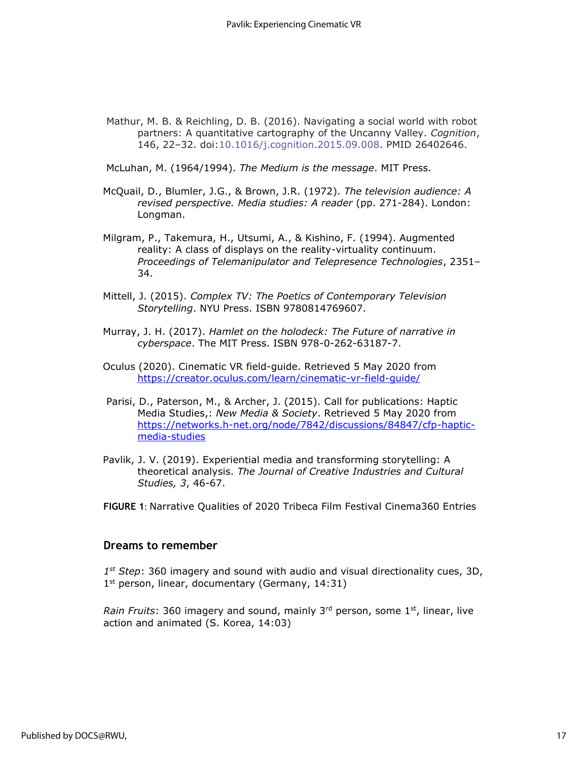Mathur, M. B. & Reichling, D. B. (2016). Navigating a social world with robot partners: A quantitative cartography of the Uncanny Valley. *Cognition*, 146, 22–32. doi[:10.1016/j.cognition.2015.09.008.](https://doi.org/10.1016%25252Fj.cognition.2015.09.008) PMID 26402646.

McLuhan, M. (1964/1994). *The Medium is the message*. MIT Press.

- McQuail, D., Blumler, J.G., & Brown, J.R. (1972). *The television audience: A revised perspective. Media studies: A reader* (pp. 271-284). London: Longman.
- Milgram, P., Takemura, H., Utsumi, A., & Kishino, F. (1994). Augmented reality: A class of displays on the reality-virtuality continuum. *Proceedings of Telemanipulator and Telepresence Technologies*, 2351– 34.
- Mittell, J. (2015). *Complex TV: The Poetics of Contemporary Television Storytelling*. NYU Press. ISBN 9780814769607.
- Murray, J. H. (2017). *Hamlet on the holodeck: The Future of narrative in cyberspace*. The MIT Press. ISBN 978-0-262-63187-7.
- Oculus (2020). Cinematic VR field-guide. Retrieved 5 May 2020 fro[m](https://creator.oculus.com/learn/cinematic-vr-field-guide/) <https://creator.oculus.com/learn/cinematic-vr-field-guide/>
- Parisi, D., Paterson, M., & Archer, J. (2015). Call for publications: Haptic Media Studies,: *New Media & Society*. Retrieved 5 May 2020 fro[m](https://networks.h-net.org/node/7842/discussions/84847/cfp-haptic-media-studies) [https://networks.h-net.org/node/7842/discussions/84847/cfp-haptic](https://networks.h-net.org/node/7842/discussions/84847/cfp-haptic-media-studies)[media-studies](https://networks.h-net.org/node/7842/discussions/84847/cfp-haptic-media-studies)
- Pavlik, J. V. (2019). Experiential media and transforming storytelling: A theoretical analysis. *The Journal of Creative Industries and Cultural Studies, 3*, 46-67.

**FIGURE 1**: Narrative Qualities of 2020 Tribeca Film Festival Cinema360 Entries

#### **Dreams to remember**

*1 st Step*: 360 imagery and sound with audio and visual directionality cues, 3D, 1<sup>st</sup> person, linear, documentary (Germany, 14:31)

*Rain Fruits*: 360 imagery and sound, mainly 3<sup>rd</sup> person, some 1<sup>st</sup>, linear, live action and animated (S. Korea, 14:03)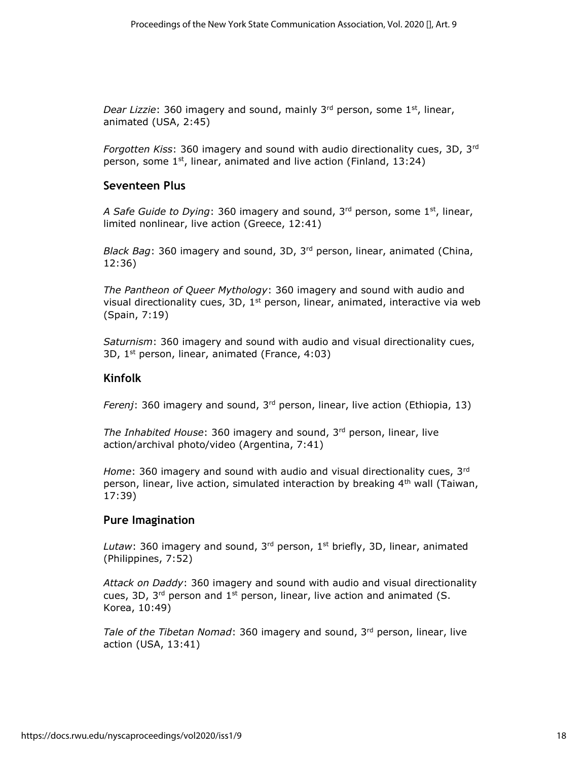*Dear Lizzie*: 360 imagery and sound, mainly 3<sup>rd</sup> person, some 1<sup>st</sup>, linear, animated (USA, 2:45)

*Forgotten Kiss*: 360 imagery and sound with audio directionality cues, 3D, 3rd person, some  $1<sup>st</sup>$ , linear, animated and live action (Finland, 13:24)

#### **Seventeen Plus**

*A Safe Guide to Dying*: 360 imagery and sound, 3rd person, some 1st, linear, limited nonlinear, live action (Greece, 12:41)

*Black Bag*: 360 imagery and sound, 3D, 3rd person, linear, animated (China, 12:36)

*The Pantheon of Queer Mythology*: 360 imagery and sound with audio and visual directionality cues, 3D,  $1<sup>st</sup>$  person, linear, animated, interactive via web (Spain, 7:19)

*Saturnism*: 360 imagery and sound with audio and visual directionality cues, 3D,  $1^{st}$  person, linear, animated (France, 4:03)

#### **Kinfolk**

*Ferenj*: 360 imagery and sound, 3rd person, linear, live action (Ethiopia, 13)

*The Inhabited House*: 360 imagery and sound, 3rd person, linear, live action/archival photo/video (Argentina, 7:41)

*Home*: 360 imagery and sound with audio and visual directionality cues, 3rd person, linear, live action, simulated interaction by breaking  $4<sup>th</sup>$  wall (Taiwan, 17:39)

#### **Pure Imagination**

Lutaw: 360 imagery and sound, 3<sup>rd</sup> person, 1<sup>st</sup> briefly, 3D, linear, animated (Philippines, 7:52)

*Attack on Daddy*: 360 imagery and sound with audio and visual directionality cues, 3D,  $3^{rd}$  person and  $1^{st}$  person, linear, live action and animated (S. Korea, 10:49)

*Tale of the Tibetan Nomad*: 360 imagery and sound, 3<sup>rd</sup> person, linear, live action (USA, 13:41)